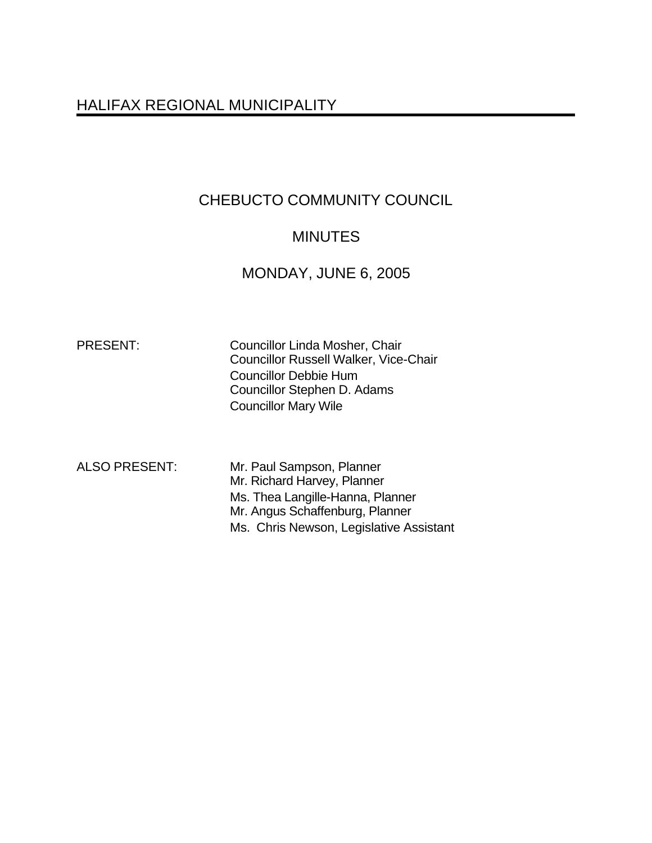# HALIFAX REGIONAL MUNICIPALITY

# CHEBUCTO COMMUNITY COUNCIL

## **MINUTES**

## MONDAY, JUNE 6, 2005

PRESENT: Councillor Linda Mosher, Chair Councillor Russell Walker, Vice-Chair Councillor Debbie Hum Councillor Stephen D. Adams Councillor Mary Wile

ALSO PRESENT: Mr. Paul Sampson, Planner Mr. Richard Harvey, Planner Ms. Thea Langille-Hanna, Planner Mr. Angus Schaffenburg, Planner Ms. Chris Newson, Legislative Assistant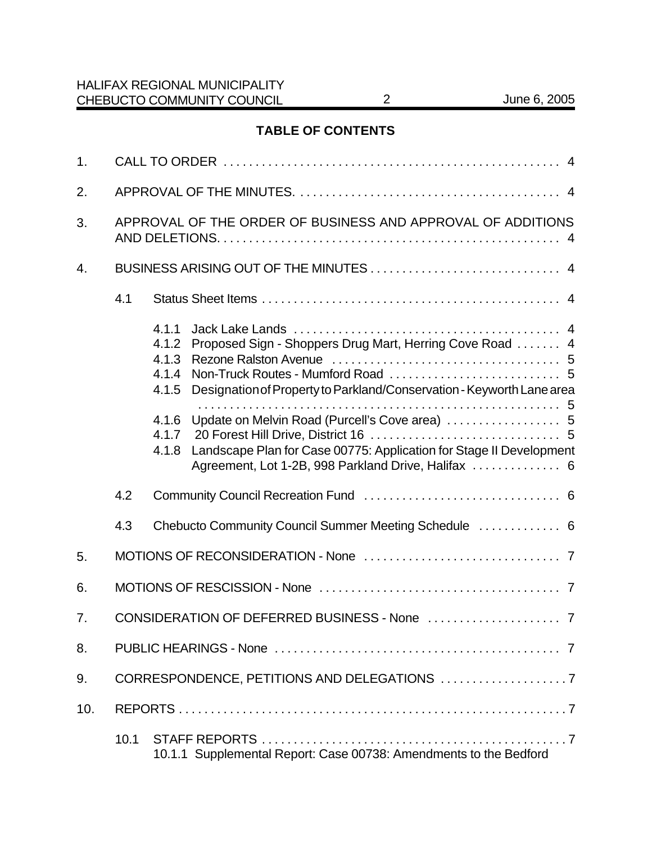## **TABLE OF CONTENTS**

| 1.               |                                                             |                                                                                                                                                                                                                                                                                                                                                                                           |  |  |
|------------------|-------------------------------------------------------------|-------------------------------------------------------------------------------------------------------------------------------------------------------------------------------------------------------------------------------------------------------------------------------------------------------------------------------------------------------------------------------------------|--|--|
| 2.               |                                                             |                                                                                                                                                                                                                                                                                                                                                                                           |  |  |
| 3.               | APPROVAL OF THE ORDER OF BUSINESS AND APPROVAL OF ADDITIONS |                                                                                                                                                                                                                                                                                                                                                                                           |  |  |
| $\overline{4}$ . |                                                             |                                                                                                                                                                                                                                                                                                                                                                                           |  |  |
|                  | 4.1                                                         |                                                                                                                                                                                                                                                                                                                                                                                           |  |  |
|                  |                                                             | 4.1.1<br>Proposed Sign - Shoppers Drug Mart, Herring Cove Road  4<br>4.1.2<br>4.1.3<br>4.1.4<br>Designation of Property to Parkland/Conservation - Keyworth Lane area<br>4.1.5<br>Update on Melvin Road (Purcell's Cove area)  5<br>4.1.6<br>4.1.7<br>Landscape Plan for Case 00775: Application for Stage II Development<br>4.1.8<br>Agreement, Lot 1-2B, 998 Parkland Drive, Halifax  6 |  |  |
|                  | 4.2                                                         |                                                                                                                                                                                                                                                                                                                                                                                           |  |  |
|                  | 4.3                                                         | Chebucto Community Council Summer Meeting Schedule  6                                                                                                                                                                                                                                                                                                                                     |  |  |
| 5.               |                                                             |                                                                                                                                                                                                                                                                                                                                                                                           |  |  |
| 6.               |                                                             |                                                                                                                                                                                                                                                                                                                                                                                           |  |  |
| 7.               |                                                             |                                                                                                                                                                                                                                                                                                                                                                                           |  |  |
| 8.               |                                                             |                                                                                                                                                                                                                                                                                                                                                                                           |  |  |
| 9.               |                                                             |                                                                                                                                                                                                                                                                                                                                                                                           |  |  |
| 10.              |                                                             |                                                                                                                                                                                                                                                                                                                                                                                           |  |  |
|                  | 10.1                                                        | 10.1.1 Supplemental Report: Case 00738: Amendments to the Bedford                                                                                                                                                                                                                                                                                                                         |  |  |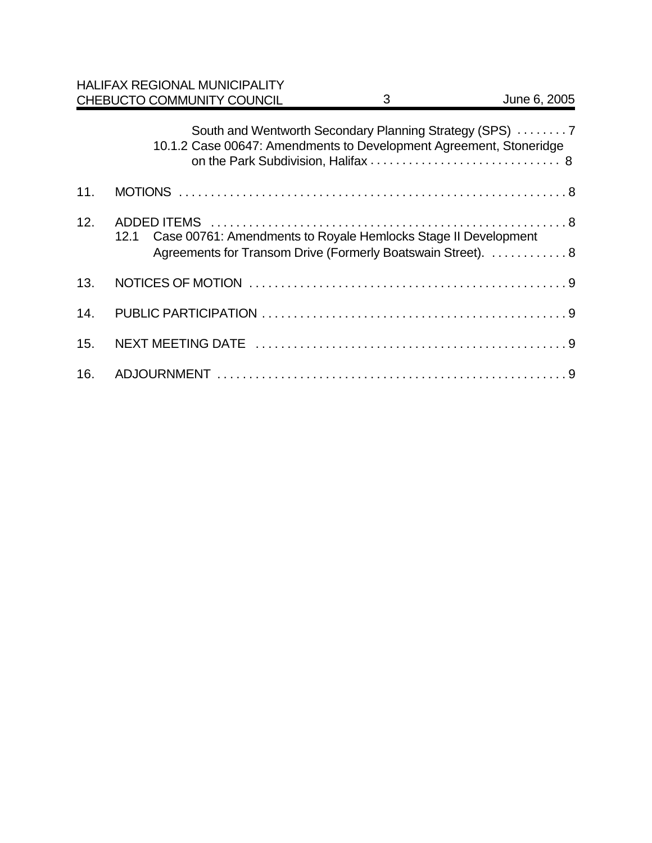|     | <b>HALIFAX REGIONAL MUNICIPALITY</b><br>CHEBUCTO COMMUNITY COUNCIL | 3                                                                                                                              | June 6, 2005 |
|-----|--------------------------------------------------------------------|--------------------------------------------------------------------------------------------------------------------------------|--------------|
|     |                                                                    | South and Wentworth Secondary Planning Strategy (SPS) 7<br>10.1.2 Case 00647: Amendments to Development Agreement, Stoneridge  |              |
| 11. |                                                                    |                                                                                                                                |              |
| 12. | 12.1                                                               | Case 00761: Amendments to Royale Hemlocks Stage II Development<br>Agreements for Transom Drive (Formerly Boatswain Street).  8 |              |
| 13. |                                                                    |                                                                                                                                |              |
| 14. |                                                                    |                                                                                                                                |              |
| 15. |                                                                    |                                                                                                                                |              |
| 16. |                                                                    |                                                                                                                                |              |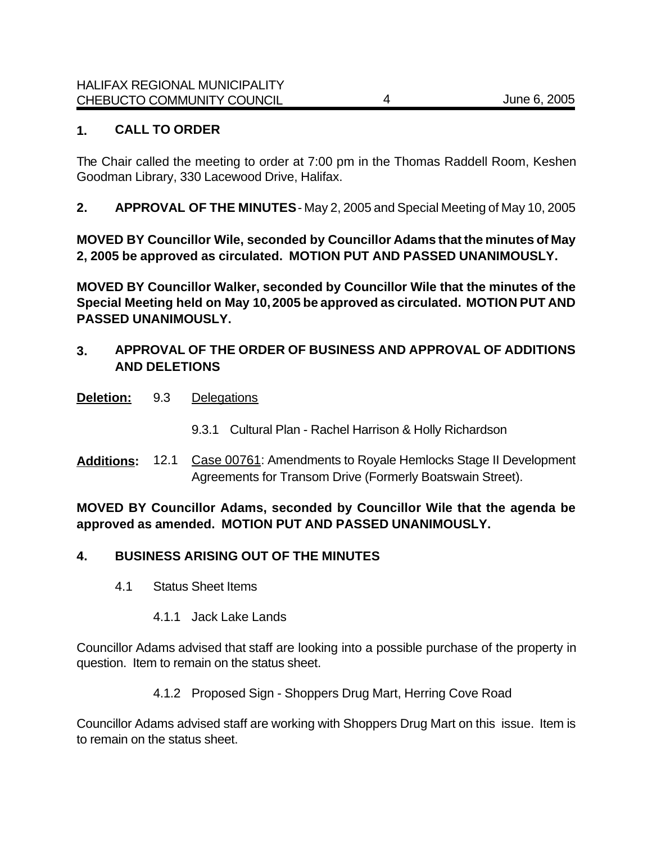## **1. CALL TO ORDER**

The Chair called the meeting to order at 7:00 pm in the Thomas Raddell Room, Keshen Goodman Library, 330 Lacewood Drive, Halifax.

**2. APPROVAL OF THE MINUTES** - May 2, 2005 and Special Meeting of May 10, 2005

**MOVED BY Councillor Wile, seconded by Councillor Adams that the minutes of May 2, 2005 be approved as circulated. MOTION PUT AND PASSED UNANIMOUSLY.** 

**MOVED BY Councillor Walker, seconded by Councillor Wile that the minutes of the Special Meeting held on May 10, 2005 be approved as circulated. MOTION PUT AND PASSED UNANIMOUSLY.** 

## **3. APPROVAL OF THE ORDER OF BUSINESS AND APPROVAL OF ADDITIONS AND DELETIONS**

- **Deletion:** 9.3 Delegations
	- 9.3.1 Cultural Plan Rachel Harrison & Holly Richardson
- **Additions:** 12.1 Case 00761: Amendments to Royale Hemlocks Stage II Development Agreements for Transom Drive (Formerly Boatswain Street).

**MOVED BY Councillor Adams, seconded by Councillor Wile that the agenda be approved as amended. MOTION PUT AND PASSED UNANIMOUSLY.**

## **4. BUSINESS ARISING OUT OF THE MINUTES**

- 4.1 Status Sheet Items
	- 4.1.1 Jack Lake Lands

Councillor Adams advised that staff are looking into a possible purchase of the property in question. Item to remain on the status sheet.

4.1.2 Proposed Sign - Shoppers Drug Mart, Herring Cove Road

Councillor Adams advised staff are working with Shoppers Drug Mart on this issue.Item is to remain on the status sheet.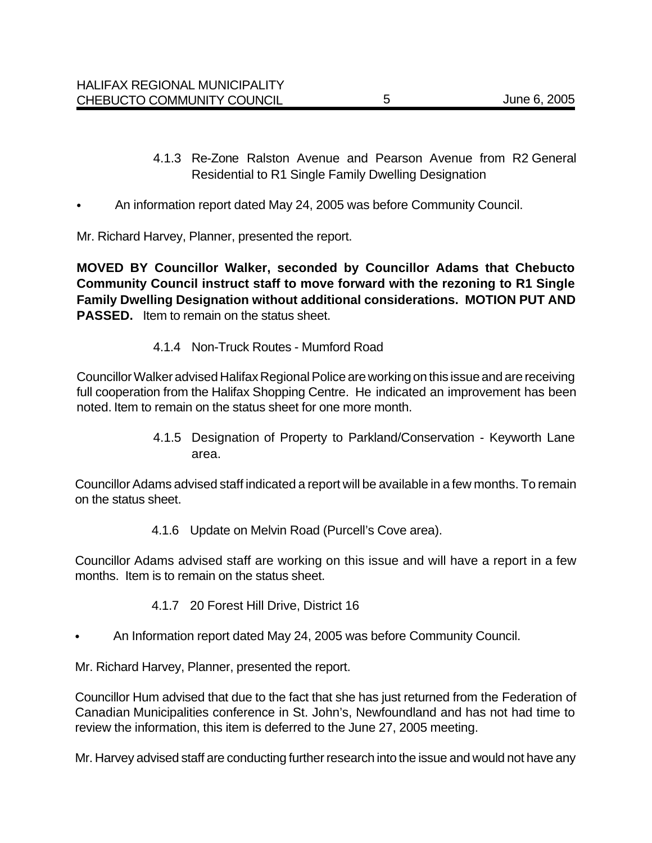- 4.1.3 Re-Zone Ralston Avenue and Pearson Avenue from R2 General Residential to R1 Single Family Dwelling Designation
- An information report dated May 24, 2005 was before Community Council.

Mr. Richard Harvey, Planner, presented the report.

**MOVED BY Councillor Walker, seconded by Councillor Adams that Chebucto Community Council instruct staff to move forward with the rezoning to R1 Single Family Dwelling Designation without additional considerations. MOTION PUT AND PASSED.** Item to remain on the status sheet.

#### 4.1.4 Non-Truck Routes - Mumford Road

Councillor Walker advised Halifax Regional Police are working on this issue and are receiving full cooperation from the Halifax Shopping Centre. He indicated an improvement has been noted. Item to remain on the status sheet for one more month.

> 4.1.5 Designation of Property to Parkland/Conservation - Keyworth Lane area.

Councillor Adams advised staff indicated a report will be available in a few months. To remain on the status sheet.

4.1.6 Update on Melvin Road (Purcell's Cove area).

Councillor Adams advised staff are working on this issue and will have a report in a few months. Item is to remain on the status sheet.

- 4.1.7 20 Forest Hill Drive, District 16
- An Information report dated May 24, 2005 was before Community Council.

Mr. Richard Harvey, Planner, presented the report.

Councillor Hum advised that due to the fact that she has just returned from the Federation of Canadian Municipalities conference in St. John's, Newfoundland and has not had time to review the information, this item is deferred to the June 27, 2005 meeting.

Mr. Harvey advised staff are conducting further research into the issue and would not have any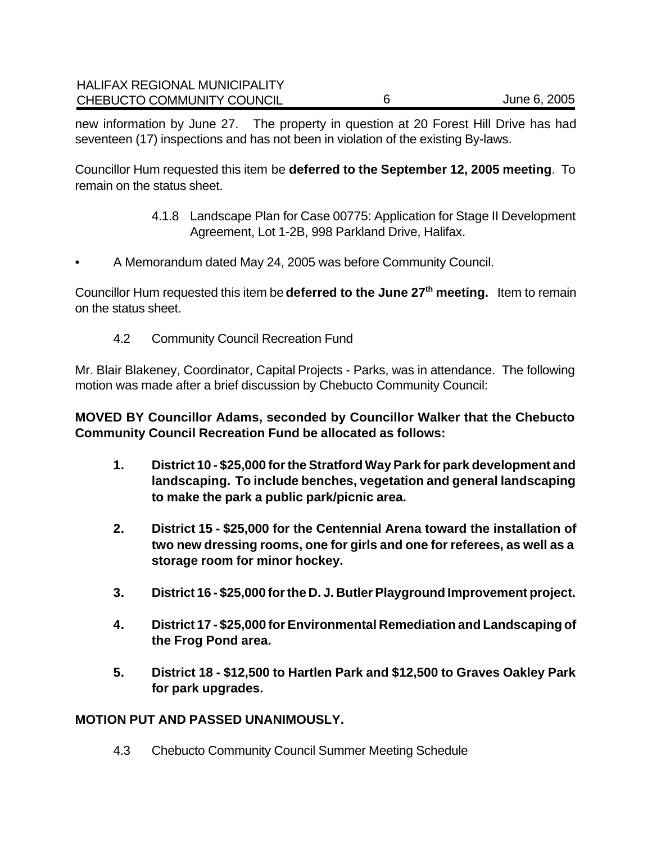new information by June 27. The property in question at 20 Forest Hill Drive has had seventeen (17) inspections and has not been in violation of the existing By-laws.

Councillor Hum requested this item be **deferred to the September 12, 2005 meeting**. To remain on the status sheet.

- 4.1.8 Landscape Plan for Case 00775: Application for Stage II Development Agreement, Lot 1-2B, 998 Parkland Drive, Halifax.
- A Memorandum dated May 24, 2005 was before Community Council.

Councillor Hum requested this item be **deferred to the June 27th meeting.** Item to remain on the status sheet.

4.2 Community Council Recreation Fund

Mr. Blair Blakeney, Coordinator, Capital Projects - Parks, was in attendance. The following motion was made after a brief discussion by Chebucto Community Council:

**MOVED BY Councillor Adams, seconded by Councillor Walker that the Chebucto Community Council Recreation Fund be allocated as follows:**

- **1. District 10 \$25,000 for the Stratford Way Park for park development and landscaping. To include benches, vegetation and general landscaping to make the park a public park/picnic area.**
- **2. District 15 \$25,000 for the Centennial Arena toward the installation of two new dressing rooms, one for girls and one for referees, as well as a storage room for minor hockey.**
- **3. District 16 \$25,000 for the D. J. Butler Playground Improvement project.**
- **4. District 17 \$25,000 for Environmental Remediation and Landscaping of the Frog Pond area.**
- **5. District 18 \$12,500 to Hartlen Park and \$12,500 to Graves Oakley Park for park upgrades.**

#### **MOTION PUT AND PASSED UNANIMOUSLY.**

4.3 Chebucto Community Council Summer Meeting Schedule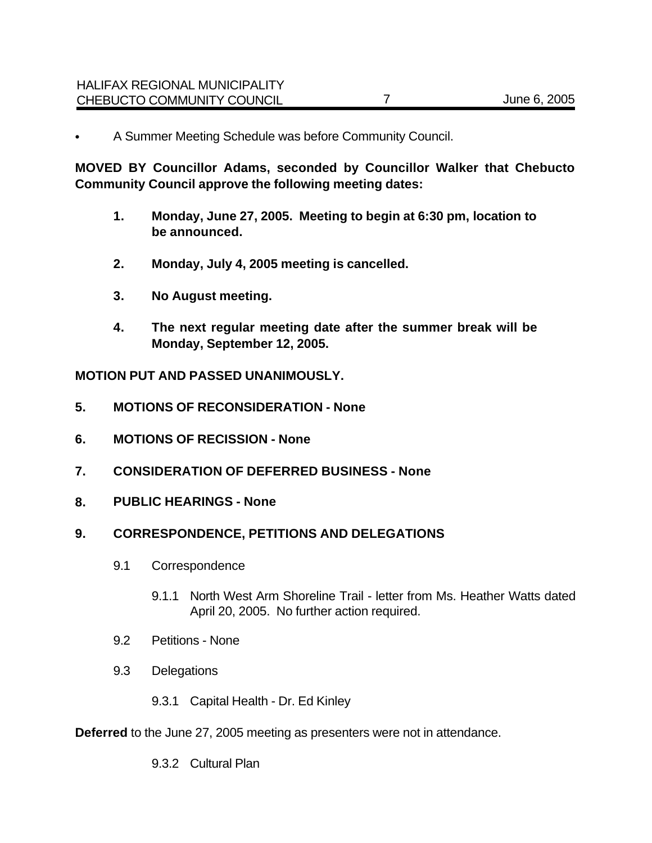• A Summer Meeting Schedule was before Community Council.

**MOVED BY Councillor Adams, seconded by Councillor Walker that Chebucto Community Council approve the following meeting dates:**

- **1. Monday, June 27, 2005. Meeting to begin at 6:30 pm, location to be announced.**
- **2. Monday, July 4, 2005 meeting is cancelled.**
- **3. No August meeting.**
- **4. The next regular meeting date after the summer break will be Monday, September 12, 2005.**

**MOTION PUT AND PASSED UNANIMOUSLY.** 

- **5. MOTIONS OF RECONSIDERATION None**
- **6. MOTIONS OF RECISSION None**
- **7. CONSIDERATION OF DEFERRED BUSINESS None**
- **8. PUBLIC HEARINGS None**

#### **9. CORRESPONDENCE, PETITIONS AND DELEGATIONS**

- 9.1 Correspondence
	- 9.1.1 North West Arm Shoreline Trail letter from Ms. Heather Watts dated April 20, 2005. No further action required.
- 9.2 Petitions None
- 9.3 Delegations
	- 9.3.1 Capital Health Dr. Ed Kinley

**Deferred** to the June 27, 2005 meeting as presenters were not in attendance.

9.3.2 Cultural Plan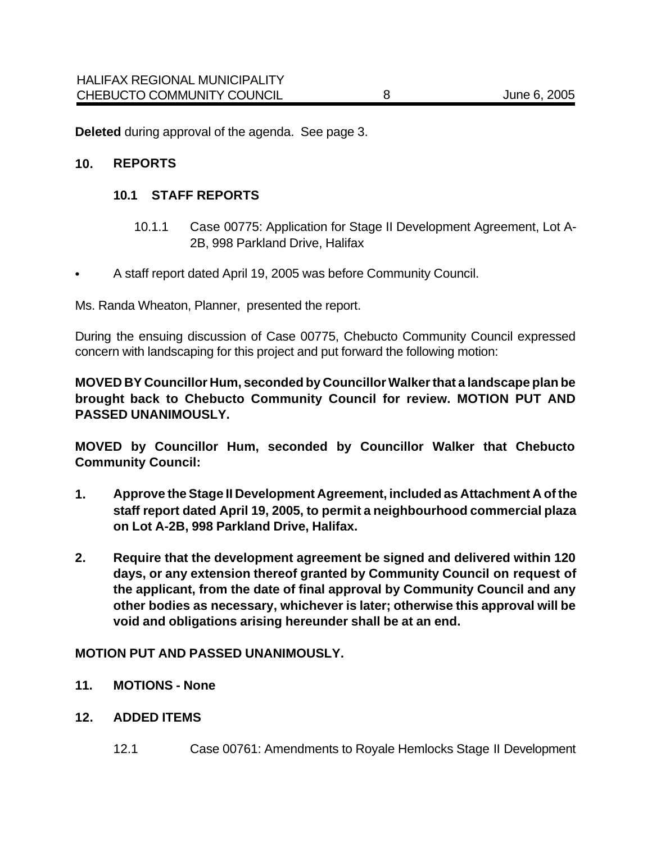**Deleted** during approval of the agenda. See page 3.

#### **10. REPORTS**

#### **10.1 STAFF REPORTS**

- 10.1.1 Case 00775: Application for Stage II Development Agreement, Lot A-2B, 998 Parkland Drive, Halifax
- A staff report dated April 19, 2005 was before Community Council.

Ms. Randa Wheaton, Planner, presented the report.

During the ensuing discussion of Case 00775, Chebucto Community Council expressed concern with landscaping for this project and put forward the following motion:

**MOVED BY Councillor Hum, seconded by Councillor Walker that a landscape plan be brought back to Chebucto Community Council for review. MOTION PUT AND PASSED UNANIMOUSLY.** 

**MOVED by Councillor Hum, seconded by Councillor Walker that Chebucto Community Council:** 

- **1. Approve the Stage II Development Agreement, included as Attachment A of the staff report dated April 19, 2005, to permit a neighbourhood commercial plaza on Lot A-2B, 998 Parkland Drive, Halifax.**
- **2. Require that the development agreement be signed and delivered within 120 days, or any extension thereof granted by Community Council on request of the applicant, from the date of final approval by Community Council and any other bodies as necessary, whichever is later; otherwise this approval will be void and obligations arising hereunder shall be at an end.**

#### **MOTION PUT AND PASSED UNANIMOUSLY.**

- **11. MOTIONS None**
- **12. ADDED ITEMS**
	- 12.1 Case 00761: Amendments to Royale Hemlocks Stage II Development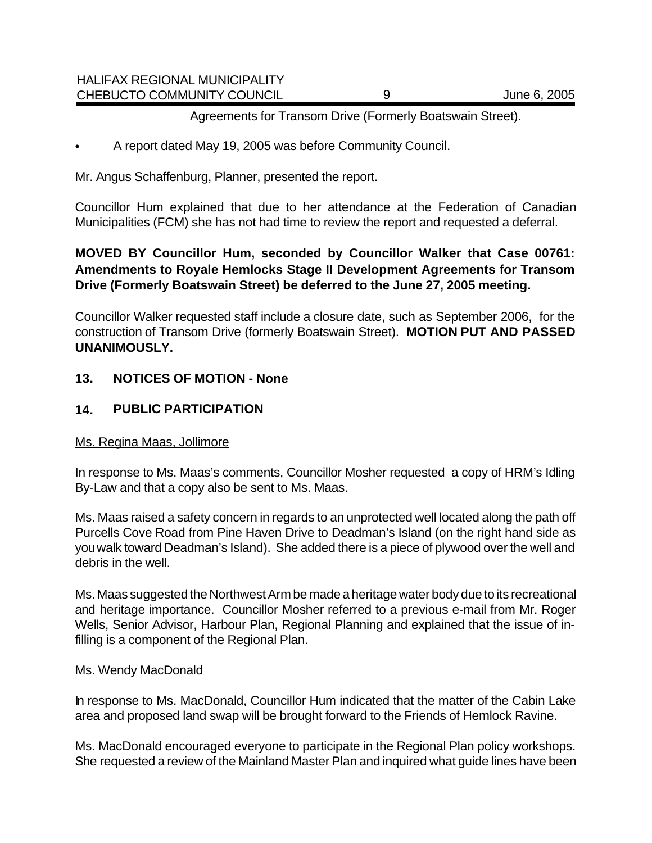| HALIFAX REGIONAL MUNICIPALITY |              |
|-------------------------------|--------------|
| CHEBUCTO COMMUNITY COUNCIL    | June 6, 2005 |

#### Agreements for Transom Drive (Formerly Boatswain Street).

• A report dated May 19, 2005 was before Community Council.

Mr. Angus Schaffenburg, Planner, presented the report.

Councillor Hum explained that due to her attendance at the Federation of Canadian Municipalities (FCM) she has not had time to review the report and requested a deferral.

## **MOVED BY Councillor Hum, seconded by Councillor Walker that Case 00761: Amendments to Royale Hemlocks Stage II Development Agreements for Transom Drive (Formerly Boatswain Street) be deferred to the June 27, 2005 meeting.**

Councillor Walker requested staff include a closure date, such as September 2006, for the construction of Transom Drive (formerly Boatswain Street). **MOTION PUT AND PASSED UNANIMOUSLY.** 

## **13. NOTICES OF MOTION - None**

HALIFAX REGIONAL MUNICIPALITY

## **14. PUBLIC PARTICIPATION**

#### Ms. Regina Maas, Jollimore

In response to Ms. Maas's comments, Councillor Mosher requested a copy of HRM's Idling By-Law and that a copy also be sent to Ms. Maas.

Ms. Maas raised a safety concern in regards to an unprotected well located along the path off Purcells Cove Road from Pine Haven Drive to Deadman's Island (on the right hand side as you walk toward Deadman's Island). She added there is a piece of plywood over the well and debris in the well.

Ms. Maas suggested the Northwest Arm be made a heritage water body due to its recreational and heritage importance. Councillor Mosher referred to a previous e-mail from Mr. Roger Wells, Senior Advisor, Harbour Plan, Regional Planning and explained that the issue of infilling is a component of the Regional Plan.

#### Ms. Wendy MacDonald

In response to Ms. MacDonald, Councillor Hum indicated that the matter of the Cabin Lake area and proposed land swap will be brought forward to the Friends of Hemlock Ravine.

Ms. MacDonald encouraged everyone to participate in the Regional Plan policy workshops. She requested a review of the Mainland Master Plan and inquired what guide lines have been